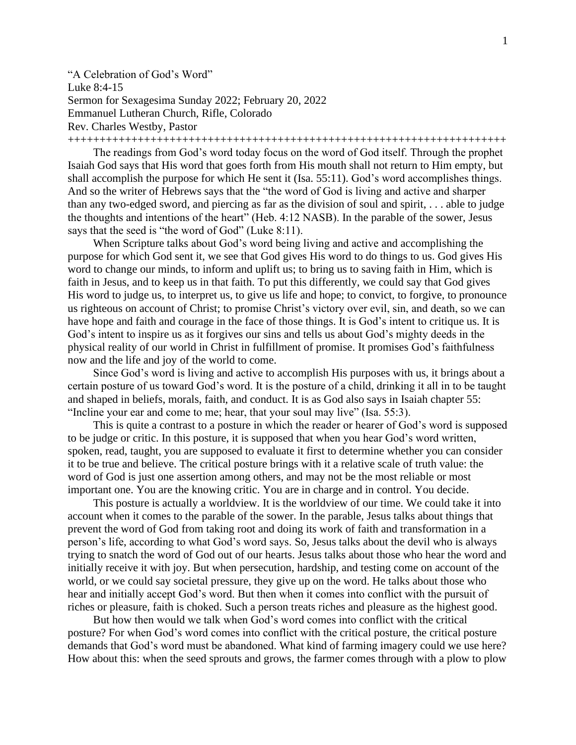"A Celebration of God's Word" Luke 8:4-15 Sermon for Sexagesima Sunday 2022; February 20, 2022 Emmanuel Lutheran Church, Rifle, Colorado Rev. Charles Westby, Pastor

+++++++++++++++++++++++++++++++++++++++++++++++++++++++++++++++++++++

The readings from God's word today focus on the word of God itself. Through the prophet Isaiah God says that His word that goes forth from His mouth shall not return to Him empty, but shall accomplish the purpose for which He sent it (Isa. 55:11). God's word accomplishes things. And so the writer of Hebrews says that the "the word of God is living and active and sharper than any two-edged sword, and piercing as far as the division of soul and spirit, . . . able to judge the thoughts and intentions of the heart" (Heb. 4:12 NASB). In the parable of the sower, Jesus says that the seed is "the word of God" (Luke 8:11).

When Scripture talks about God's word being living and active and accomplishing the purpose for which God sent it, we see that God gives His word to do things to us. God gives His word to change our minds, to inform and uplift us; to bring us to saving faith in Him, which is faith in Jesus, and to keep us in that faith. To put this differently, we could say that God gives His word to judge us, to interpret us, to give us life and hope; to convict, to forgive, to pronounce us righteous on account of Christ; to promise Christ's victory over evil, sin, and death, so we can have hope and faith and courage in the face of those things. It is God's intent to critique us. It is God's intent to inspire us as it forgives our sins and tells us about God's mighty deeds in the physical reality of our world in Christ in fulfillment of promise. It promises God's faithfulness now and the life and joy of the world to come.

Since God's word is living and active to accomplish His purposes with us, it brings about a certain posture of us toward God's word. It is the posture of a child, drinking it all in to be taught and shaped in beliefs, morals, faith, and conduct. It is as God also says in Isaiah chapter 55: "Incline your ear and come to me; hear, that your soul may live" (Isa. 55:3).

This is quite a contrast to a posture in which the reader or hearer of God's word is supposed to be judge or critic. In this posture, it is supposed that when you hear God's word written, spoken, read, taught, you are supposed to evaluate it first to determine whether you can consider it to be true and believe. The critical posture brings with it a relative scale of truth value: the word of God is just one assertion among others, and may not be the most reliable or most important one. You are the knowing critic. You are in charge and in control. You decide.

This posture is actually a worldview. It is the worldview of our time. We could take it into account when it comes to the parable of the sower. In the parable, Jesus talks about things that prevent the word of God from taking root and doing its work of faith and transformation in a person's life, according to what God's word says. So, Jesus talks about the devil who is always trying to snatch the word of God out of our hearts. Jesus talks about those who hear the word and initially receive it with joy. But when persecution, hardship, and testing come on account of the world, or we could say societal pressure, they give up on the word. He talks about those who hear and initially accept God's word. But then when it comes into conflict with the pursuit of riches or pleasure, faith is choked. Such a person treats riches and pleasure as the highest good.

But how then would we talk when God's word comes into conflict with the critical posture? For when God's word comes into conflict with the critical posture, the critical posture demands that God's word must be abandoned. What kind of farming imagery could we use here? How about this: when the seed sprouts and grows, the farmer comes through with a plow to plow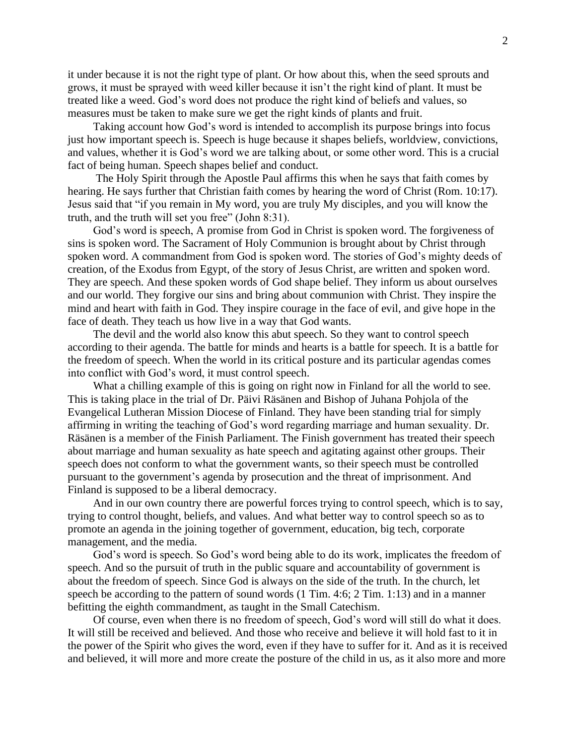it under because it is not the right type of plant. Or how about this, when the seed sprouts and grows, it must be sprayed with weed killer because it isn't the right kind of plant. It must be treated like a weed. God's word does not produce the right kind of beliefs and values, so measures must be taken to make sure we get the right kinds of plants and fruit.

Taking account how God's word is intended to accomplish its purpose brings into focus just how important speech is. Speech is huge because it shapes beliefs, worldview, convictions, and values, whether it is God's word we are talking about, or some other word. This is a crucial fact of being human. Speech shapes belief and conduct.

The Holy Spirit through the Apostle Paul affirms this when he says that faith comes by hearing. He says further that Christian faith comes by hearing the word of Christ (Rom. 10:17). Jesus said that "if you remain in My word, you are truly My disciples, and you will know the truth, and the truth will set you free" (John 8:31).

God's word is speech, A promise from God in Christ is spoken word. The forgiveness of sins is spoken word. The Sacrament of Holy Communion is brought about by Christ through spoken word. A commandment from God is spoken word. The stories of God's mighty deeds of creation, of the Exodus from Egypt, of the story of Jesus Christ, are written and spoken word. They are speech. And these spoken words of God shape belief. They inform us about ourselves and our world. They forgive our sins and bring about communion with Christ. They inspire the mind and heart with faith in God. They inspire courage in the face of evil, and give hope in the face of death. They teach us how live in a way that God wants.

The devil and the world also know this abut speech. So they want to control speech according to their agenda. The battle for minds and hearts is a battle for speech. It is a battle for the freedom of speech. When the world in its critical posture and its particular agendas comes into conflict with God's word, it must control speech.

What a chilling example of this is going on right now in Finland for all the world to see. This is taking place in the trial of Dr. Päivi Räsänen and Bishop of Juhana Pohjola of the Evangelical Lutheran Mission Diocese of Finland. They have been standing trial for simply affirming in writing the teaching of God's word regarding marriage and human sexuality. Dr. Räsänen is a member of the Finish Parliament. The Finish government has treated their speech about marriage and human sexuality as hate speech and agitating against other groups. Their speech does not conform to what the government wants, so their speech must be controlled pursuant to the government's agenda by prosecution and the threat of imprisonment. And Finland is supposed to be a liberal democracy.

And in our own country there are powerful forces trying to control speech, which is to say, trying to control thought, beliefs, and values. And what better way to control speech so as to promote an agenda in the joining together of government, education, big tech, corporate management, and the media.

God's word is speech. So God's word being able to do its work, implicates the freedom of speech. And so the pursuit of truth in the public square and accountability of government is about the freedom of speech. Since God is always on the side of the truth. In the church, let speech be according to the pattern of sound words (1 Tim. 4:6; 2 Tim. 1:13) and in a manner befitting the eighth commandment, as taught in the Small Catechism.

Of course, even when there is no freedom of speech, God's word will still do what it does. It will still be received and believed. And those who receive and believe it will hold fast to it in the power of the Spirit who gives the word, even if they have to suffer for it. And as it is received and believed, it will more and more create the posture of the child in us, as it also more and more